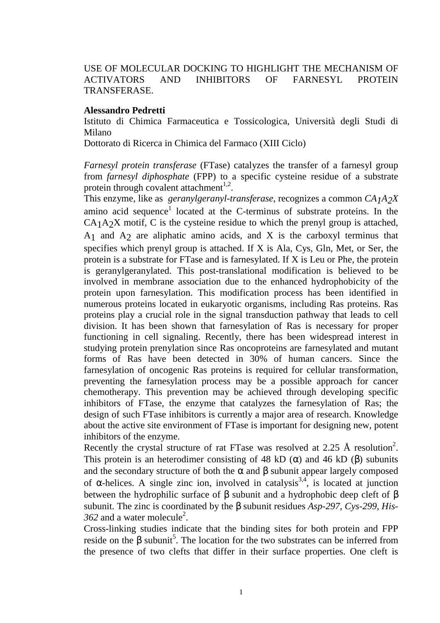## USE OF MOLECULAR DOCKING TO HIGHLIGHT THE MECHANISM OF ACTIVATORS AND INHIBITORS OF FARNESYL PROTEIN TRANSFERASE.

## **Alessandro Pedretti**

Istituto di Chimica Farmaceutica e Tossicologica, Università degli Studi di Milano

Dottorato di Ricerca in Chimica del Farmaco (XIII Ciclo)

*Farnesyl protein transferase* (FTase) catalyzes the transfer of a farnesyl group from *farnesyl diphosphate* (FPP) to a specific cysteine residue of a substrate protein through covalent attachment<sup>1,2</sup>.

This enzyme, like as *geranylgeranyl-transferase*, recognizes a common *CA1A2X* amino acid sequence<sup>1</sup> located at the C-terminus of substrate proteins. In the  $CA<sub>1</sub>A<sub>2</sub>X$  motif, C is the cysteine residue to which the prenyl group is attached, A<sub>1</sub> and A<sub>2</sub> are aliphatic amino acids, and X is the carboxyl terminus that specifies which prenyl group is attached. If X is Ala, Cys, Gln, Met, or Ser, the protein is a substrate for FTase and is farnesylated. If X is Leu or Phe, the protein is geranylgeranylated. This post-translational modification is believed to be involved in membrane association due to the enhanced hydrophobicity of the protein upon farnesylation. This modification process has been identified in numerous proteins located in eukaryotic organisms, including Ras proteins. Ras proteins play a crucial role in the signal transduction pathway that leads to cell division. It has been shown that farnesylation of Ras is necessary for proper functioning in cell signaling. Recently, there has been widespread interest in studying protein prenylation since Ras oncoproteins are farnesylated and mutant forms of Ras have been detected in 30% of human cancers. Since the farnesylation of oncogenic Ras proteins is required for cellular transformation, preventing the farnesylation process may be a possible approach for cancer chemotherapy. This prevention may be achieved through developing specific inhibitors of FTase, the enzyme that catalyzes the farnesylation of Ras; the design of such FTase inhibitors is currently a major area of research. Knowledge about the active site environment of FTase is important for designing new, potent inhibitors of the enzyme.

Recently the crystal structure of rat FTase was resolved at 2.25  $\AA$  resolution<sup>2</sup>. This protein is an heterodimer consisting of 48 kD  $(\alpha)$  and 46 kD  $(\beta)$  subunits and the secondary structure of both the  $\alpha$  and  $\beta$  subunit appear largely composed of  $\alpha$ -helices. A single zinc ion, involved in catalysis<sup>3,4</sup>, is located at junction between the hydrophilic surface of  $\beta$  subunit and a hydrophobic deep cleft of  $\beta$ subunit. The zinc is coordinated by the β subunit residues *Asp-297, Cys-299, His-* $362$  and a water molecule<sup>2</sup>.

Cross-linking studies indicate that the binding sites for both protein and FPP reside on the β subunit<sup>5</sup>. The location for the two substrates can be inferred from the presence of two clefts that differ in their surface properties. One cleft is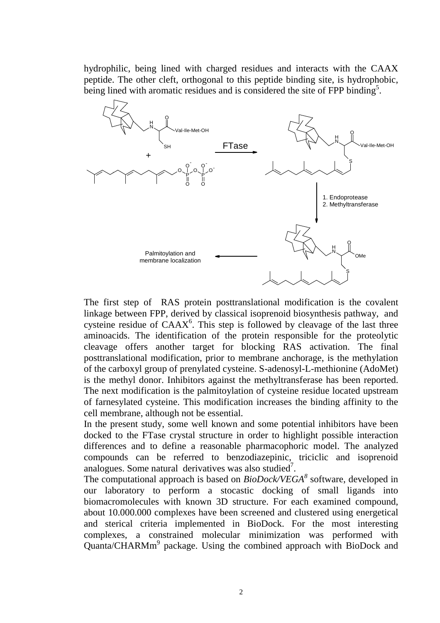hydrophilic, being lined with charged residues and interacts with the CAAX peptide. The other cleft, orthogonal to this peptide binding site, is hydrophobic, being lined with aromatic residues and is considered the site of FPP binding<sup>5</sup>.



The first step of RAS protein posttranslational modification is the covalent linkage between FPP, derived by classical isoprenoid biosynthesis pathway, and cysteine residue of  $CAAX<sup>6</sup>$ . This step is followed by cleavage of the last three aminoacids. The identification of the protein responsible for the proteolytic cleavage offers another target for blocking RAS activation. The final posttranslational modification, prior to membrane anchorage, is the methylation of the carboxyl group of prenylated cysteine. S-adenosyl-L-methionine (AdoMet) is the methyl donor. Inhibitors against the methyltransferase has been reported. The next modification is the palmitoylation of cysteine residue located upstream of farnesylated cysteine. This modification increases the binding affinity to the cell membrane, although not be essential.

In the present study, some well known and some potential inhibitors have been docked to the FTase crystal structure in order to highlight possible interaction differences and to define a reasonable pharmacophoric model. The analyzed compounds can be referred to benzodiazepinic, triciclic and isoprenoid analogues. Some natural derivatives was also studied<sup>7</sup>.

The computational approach is based on *BioDock/VEGA<sup>8</sup>* software, developed in our laboratory to perform a stocastic docking of small ligands into biomacromolecules with known 3D structure. For each examined compound, about 10.000.000 complexes have been screened and clustered using energetical and sterical criteria implemented in BioDock. For the most interesting complexes, a constrained molecular minimization was performed with Quanta/CHARMm<sup>9</sup> package. Using the combined approach with BioDock and